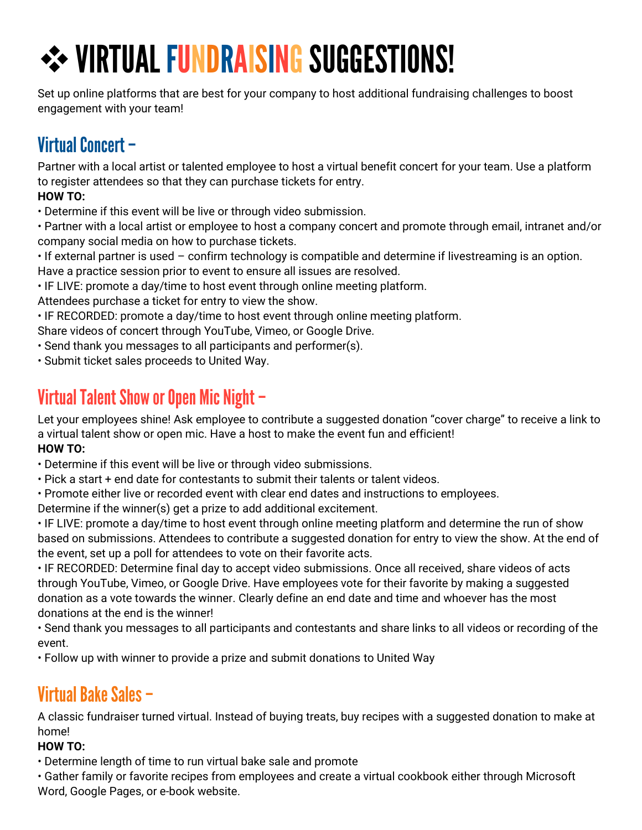# **❖ VIRTUAL FUNDRAISING SUGGESTIONS!**

Set up online platforms that are best for your company to host additional fundraising challenges to boost engagement with your team!

# Virtual Concert –

Partner with a local artist or talented employee to host a virtual benefit concert for your team. Use a platform to register attendees so that they can purchase tickets for entry.

#### **HOW TO:**

• Determine if this event will be live or through video submission.

• Partner with a local artist or employee to host a company concert and promote through email, intranet and/or company social media on how to purchase tickets.

• If external partner is used – confirm technology is compatible and determine if livestreaming is an option.

Have a practice session prior to event to ensure all issues are resolved.

• IF LIVE: promote a day/time to host event through online meeting platform.

Attendees purchase a ticket for entry to view the show.

• IF RECORDED: promote a day/time to host event through online meeting platform.

Share videos of concert through YouTube, Vimeo, or Google Drive.

- Send thank you messages to all participants and performer(s).
- Submit ticket sales proceeds to United Way.

# Virtual Talent Show or Open Mic Night –

Let your employees shine! Ask employee to contribute a suggested donation "cover charge" to receive a link to a virtual talent show or open mic. Have a host to make the event fun and efficient! **HOW TO:**

- Determine if this event will be live or through video submissions.
- Pick a start + end date for contestants to submit their talents or talent videos.
- Promote either live or recorded event with clear end dates and instructions to employees.

Determine if the winner(s) get a prize to add additional excitement.

• IF LIVE: promote a day/time to host event through online meeting platform and determine the run of show based on submissions. Attendees to contribute a suggested donation for entry to view the show. At the end of the event, set up a poll for attendees to vote on their favorite acts.

• IF RECORDED: Determine final day to accept video submissions. Once all received, share videos of acts through YouTube, Vimeo, or Google Drive. Have employees vote for their favorite by making a suggested donation as a vote towards the winner. Clearly define an end date and time and whoever has the most donations at the end is the winner!

• Send thank you messages to all participants and contestants and share links to all videos or recording of the event.

• Follow up with winner to provide a prize and submit donations to United Way

# Virtual Bake Sales –

A classic fundraiser turned virtual. Instead of buying treats, buy recipes with a suggested donation to make at home!

#### **HOW TO:**

• Determine length of time to run virtual bake sale and promote

• Gather family or favorite recipes from employees and create a virtual cookbook either through Microsoft Word, Google Pages, or e-book website.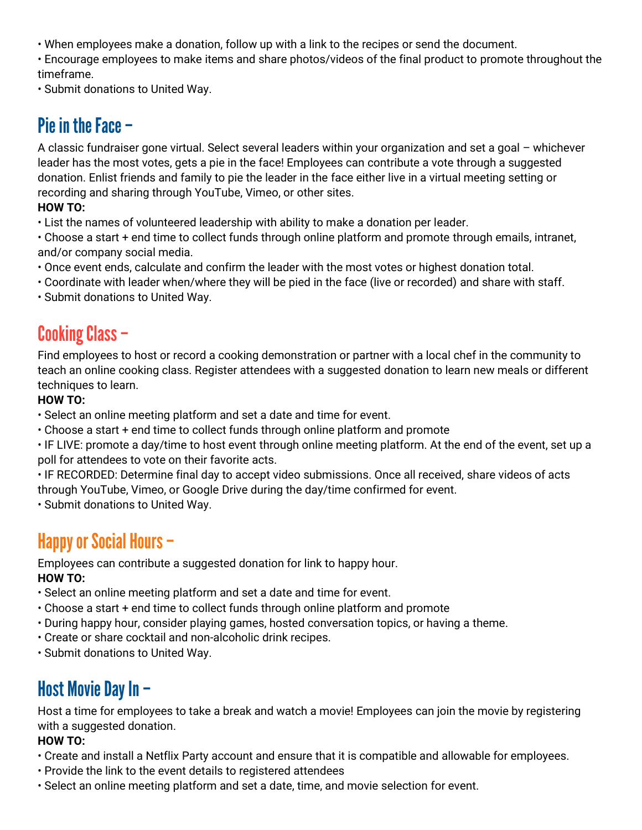• When employees make a donation, follow up with a link to the recipes or send the document.

• Encourage employees to make items and share photos/videos of the final product to promote throughout the timeframe.

• Submit donations to United Way.

### Pie in the Face –

A classic fundraiser gone virtual. Select several leaders within your organization and set a goal – whichever leader has the most votes, gets a pie in the face! Employees can contribute a vote through a suggested donation. Enlist friends and family to pie the leader in the face either live in a virtual meeting setting or recording and sharing through YouTube, Vimeo, or other sites.

#### **HOW TO:**

• List the names of volunteered leadership with ability to make a donation per leader.

• Choose a start + end time to collect funds through online platform and promote through emails, intranet, and/or company social media.

- Once event ends, calculate and confirm the leader with the most votes or highest donation total.
- Coordinate with leader when/where they will be pied in the face (live or recorded) and share with staff.
- Submit donations to United Way.

### Cooking Class –

Find employees to host or record a cooking demonstration or partner with a local chef in the community to teach an online cooking class. Register attendees with a suggested donation to learn new meals or different techniques to learn.

#### **HOW TO:**

- Select an online meeting platform and set a date and time for event.
- Choose a start + end time to collect funds through online platform and promote

• IF LIVE: promote a day/time to host event through online meeting platform. At the end of the event, set up a poll for attendees to vote on their favorite acts.

• IF RECORDED: Determine final day to accept video submissions. Once all received, share videos of acts through YouTube, Vimeo, or Google Drive during the day/time confirmed for event.

• Submit donations to United Way.

### Happy or Social Hours –

Employees can contribute a suggested donation for link to happy hour. **HOW TO:**

- Select an online meeting platform and set a date and time for event.
- Choose a start + end time to collect funds through online platform and promote
- During happy hour, consider playing games, hosted conversation topics, or having a theme.
- Create or share cocktail and non-alcoholic drink recipes.
- Submit donations to United Way.

#### Host Movie Day In –

Host a time for employees to take a break and watch a movie! Employees can join the movie by registering with a suggested donation.

#### **HOW TO:**

- Create and install a Netflix Party account and ensure that it is compatible and allowable for employees.
- Provide the link to the event details to registered attendees
- Select an online meeting platform and set a date, time, and movie selection for event.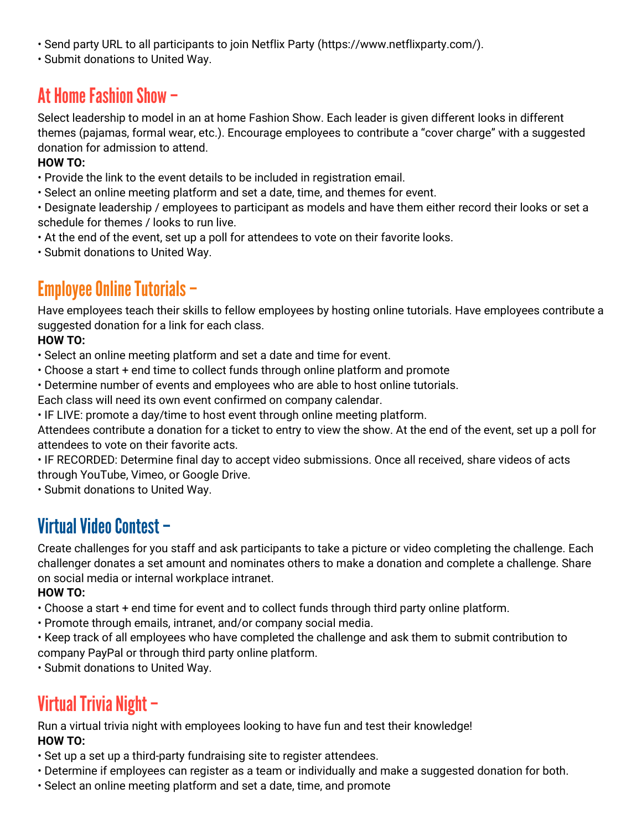- Send party URL to all participants to join Netflix Party (https://www.netflixparty.com/).
- Submit donations to United Way.

# At Home Fashion Show –

Select leadership to model in an at home Fashion Show. Each leader is given different looks in different themes (pajamas, formal wear, etc.). Encourage employees to contribute a "cover charge" with a suggested donation for admission to attend.

#### **HOW TO:**

- Provide the link to the event details to be included in registration email.
- Select an online meeting platform and set a date, time, and themes for event.
- Designate leadership / employees to participant as models and have them either record their looks or set a schedule for themes / looks to run live.
- At the end of the event, set up a poll for attendees to vote on their favorite looks.
- Submit donations to United Way.

# Employee Online Tutorials –

Have employees teach their skills to fellow employees by hosting online tutorials. Have employees contribute a suggested donation for a link for each class.

#### **HOW TO:**

• Select an online meeting platform and set a date and time for event.

- Choose a start + end time to collect funds through online platform and promote
- Determine number of events and employees who are able to host online tutorials.

Each class will need its own event confirmed on company calendar.

• IF LIVE: promote a day/time to host event through online meeting platform.

Attendees contribute a donation for a ticket to entry to view the show. At the end of the event, set up a poll for attendees to vote on their favorite acts.

• IF RECORDED: Determine final day to accept video submissions. Once all received, share videos of acts through YouTube, Vimeo, or Google Drive.

• Submit donations to United Way.

### Virtual Video Contest –

Create challenges for you staff and ask participants to take a picture or video completing the challenge. Each challenger donates a set amount and nominates others to make a donation and complete a challenge. Share on social media or internal workplace intranet.

#### **HOW TO:**

- Choose a start + end time for event and to collect funds through third party online platform.
- Promote through emails, intranet, and/or company social media.
- Keep track of all employees who have completed the challenge and ask them to submit contribution to company PayPal or through third party online platform.
- Submit donations to United Way.

# Virtual Trivia Night –

Run a virtual trivia night with employees looking to have fun and test their knowledge! **HOW TO:**

- Set up a set up a third-party fundraising site to register attendees.
- Determine if employees can register as a team or individually and make a suggested donation for both.
- Select an online meeting platform and set a date, time, and promote